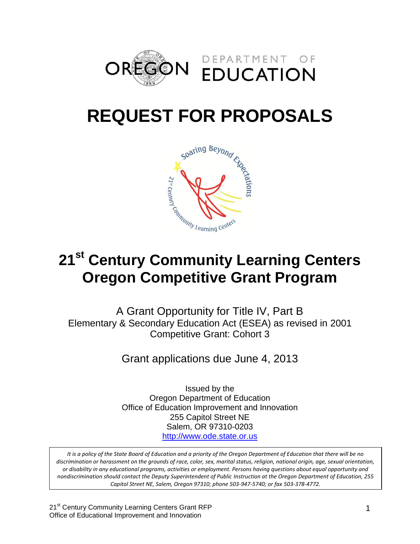

# **REQUEST FOR PROPOSALS**



# **Oregon Competitive Grant Program**

A Grant Opportunity for Title IV, Part B Elementary & Secondary Education Act (ESEA) as revised in 2001 Competitive Grant: Cohort 3

Grant applications due June 4, 2013

Issued by the Oregon Department of Education Office of Education Improvement and Innovation 255 Capitol Street NE Salem, OR 97310-0203 [http://www.ode.state.or.us](http://www.ode.state.or.us/)

*It is a policy of the State Board of Education and a priority of the Oregon Department of Education that there will be no discrimination or harassment on the grounds of race, color, sex, marital status, religion, national origin, age, sexual orientation, or disability in any educational programs, activities or employment. Persons having questions about equal opportunity and nondiscrimination should contact the Deputy Superintendent of Public Instruction at the Oregon Department of Education, 255 Capitol Street NE, Salem, Oregon 97310; phone 503-947-5740; or fax 503-378-4772.*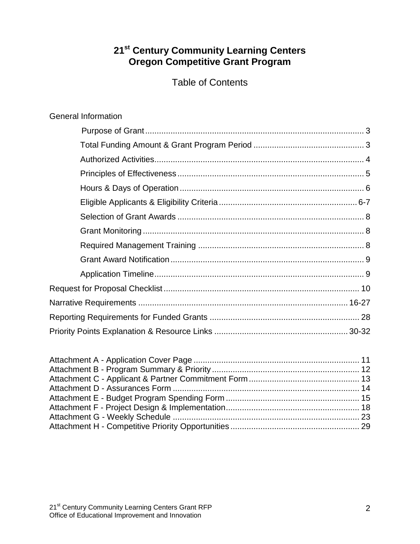### **21st Century Community Learning Centers Oregon Competitive Grant Program**

Table of Contents

| <b>General Information</b> |
|----------------------------|
|                            |
|                            |
|                            |
|                            |
|                            |
|                            |
|                            |
|                            |
|                            |
|                            |
|                            |
|                            |
|                            |
|                            |
|                            |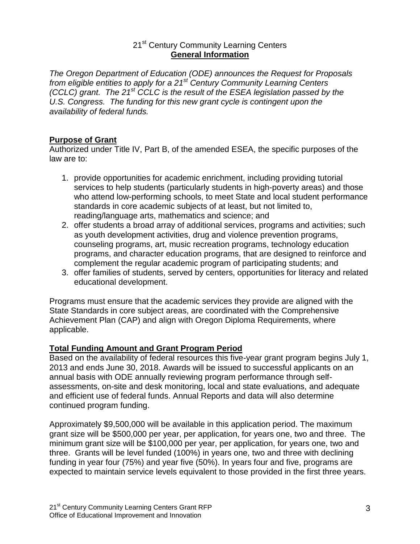#### 21<sup>st</sup> Century Community Learning Centers **General Information**

*The Oregon Department of Education (ODE) announces the Request for Proposals from eligible entities to apply for a 21st Century Community Learning Centers (CCLC) grant. The 21st CCLC is the result of the ESEA legislation passed by the U.S. Congress. The funding for this new grant cycle is contingent upon the availability of federal funds.*

#### **Purpose of Grant**

Authorized under Title IV, Part B, of the amended ESEA, the specific purposes of the law are to:

- 1. provide opportunities for academic enrichment, including providing tutorial services to help students (particularly students in high-poverty areas) and those who attend low-performing schools, to meet State and local student performance standards in core academic subjects of at least, but not limited to, reading/language arts, mathematics and science; and
- 2. offer students a broad array of additional services, programs and activities; such as youth development activities, drug and violence prevention programs, counseling programs, art, music recreation programs, technology education programs, and character education programs, that are designed to reinforce and complement the regular academic program of participating students; and
- 3. offer families of students, served by centers, opportunities for literacy and related educational development.

Programs must ensure that the academic services they provide are aligned with the State Standards in core subject areas, are coordinated with the Comprehensive Achievement Plan (CAP) and align with Oregon Diploma Requirements, where applicable.

#### **Total Funding Amount and Grant Program Period**

Based on the availability of federal resources this five-year grant program begins July 1, 2013 and ends June 30, 2018. Awards will be issued to successful applicants on an annual basis with ODE annually reviewing program performance through selfassessments, on-site and desk monitoring, local and state evaluations, and adequate and efficient use of federal funds. Annual Reports and data will also determine continued program funding.

Approximately \$9,500,000 will be available in this application period. The maximum grant size will be \$500,000 per year, per application, for years one, two and three. The minimum grant size will be \$100,000 per year, per application, for years one, two and three. Grants will be level funded (100%) in years one, two and three with declining funding in year four (75%) and year five (50%). In years four and five, programs are expected to maintain service levels equivalent to those provided in the first three years.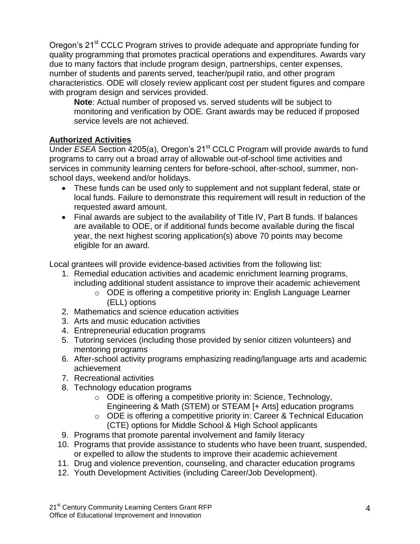Oregon's 21<sup>st</sup> CCLC Program strives to provide adequate and appropriate funding for quality programming that promotes practical operations and expenditures. Awards vary due to many factors that include program design, partnerships, center expenses, number of students and parents served, teacher/pupil ratio, and other program characteristics. ODE will closely review applicant cost per student figures and compare with program design and services provided.

**Note**: Actual number of proposed vs. served students will be subject to monitoring and verification by ODE. Grant awards may be reduced if proposed service levels are not achieved.

#### **Authorized Activities**

Under *ESEA* Section 4205(a), Oregon's 21<sup>st</sup> CCLC Program will provide awards to fund programs to carry out a broad array of allowable out-of-school time activities and services in community learning centers for before-school, after-school, summer, nonschool days, weekend and/or holidays.

- These funds can be used only to supplement and not supplant federal, state or local funds. Failure to demonstrate this requirement will result in reduction of the requested award amount.
- Final awards are subject to the availability of Title IV, Part B funds. If balances are available to ODE, or if additional funds become available during the fiscal year, the next highest scoring application(s) above 70 points may become eligible for an award.

Local grantees will provide evidence-based activities from the following list:

- 1. Remedial education activities and academic enrichment learning programs, including additional student assistance to improve their academic achievement
	- o ODE is offering a competitive priority in: English Language Learner (ELL) options
- 2. Mathematics and science education activities
- 3. Arts and music education activities
- 4. Entrepreneurial education programs
- 5. Tutoring services (including those provided by senior citizen volunteers) and mentoring programs
- 6. After-school activity programs emphasizing reading/language arts and academic achievement
- 7. Recreational activities
- 8. Technology education programs
	- o ODE is offering a competitive priority in: Science, Technology, Engineering & Math (STEM) or STEAM [+ Arts] education programs
	- o ODE is offering a competitive priority in: Career & Technical Education (CTE) options for Middle School & High School applicants
- 9. Programs that promote parental involvement and family literacy
- 10. Programs that provide assistance to students who have been truant, suspended, or expelled to allow the students to improve their academic achievement
- 11. Drug and violence prevention, counseling, and character education programs
- 12. Youth Development Activities (including Career/Job Development).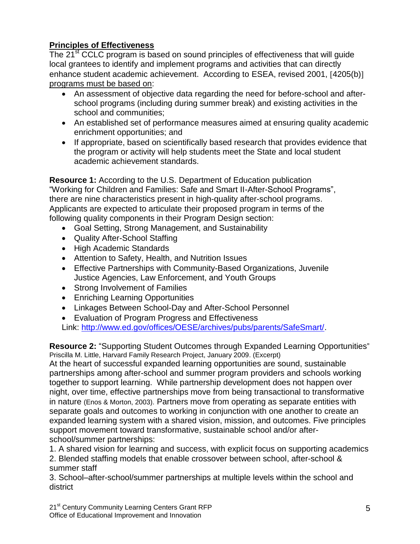#### **Principles of Effectiveness**

The 21<sup>st</sup> CCLC program is based on sound principles of effectiveness that will guide local grantees to identify and implement programs and activities that can directly enhance student academic achievement. According to ESEA, revised 2001, [4205(b)] programs must be based on:

- An assessment of objective data regarding the need for before-school and afterschool programs (including during summer break) and existing activities in the school and communities;
- An established set of performance measures aimed at ensuring quality academic enrichment opportunities; and
- If appropriate, based on scientifically based research that provides evidence that the program or activity will help students meet the State and local student academic achievement standards.

**Resource 1:** According to the U.S. Department of Education publication "Working for Children and Families: Safe and Smart II-After-School Programs", there are nine characteristics present in high-quality after-school programs. Applicants are expected to articulate their proposed program in terms of the following quality components in their Program Design section:

- Goal Setting, Strong Management, and Sustainability
- Quality After-School Staffing
- High Academic Standards
- Attention to Safety, Health, and Nutrition Issues
- Effective Partnerships with Community-Based Organizations, Juvenile Justice Agencies, Law Enforcement, and Youth Groups
- Strong Involvement of Families
- Enriching Learning Opportunities
- Linkages Between School-Day and After-School Personnel
- Evaluation of Program Progress and Effectiveness

Link: [http://www.ed.gov/offices/OESE/archives/pubs/parents/SafeSmart/.](http://www.ed.gov/offices/OESE/archives/pubs/parents/SafeSmart/)

**Resource 2:** "Supporting Student Outcomes through Expanded Learning Opportunities" Priscilla M. Little, Harvard Family Research Project, January 2009. (Excerpt)

At the heart of successful expanded learning opportunities are sound, sustainable partnerships among after-school and summer program providers and schools working together to support learning. While partnership development does not happen over night, over time, effective partnerships move from being transactional to transformative in nature (Enos & Morton, 2003). Partners move from operating as separate entities with separate goals and outcomes to working in conjunction with one another to create an expanded learning system with a shared vision, mission, and outcomes. Five principles support movement toward transformative, sustainable school and/or afterschool/summer partnerships:

1. A shared vision for learning and success, with explicit focus on supporting academics

2. Blended staffing models that enable crossover between school, after-school & summer staff

3. School–after-school/summer partnerships at multiple levels within the school and district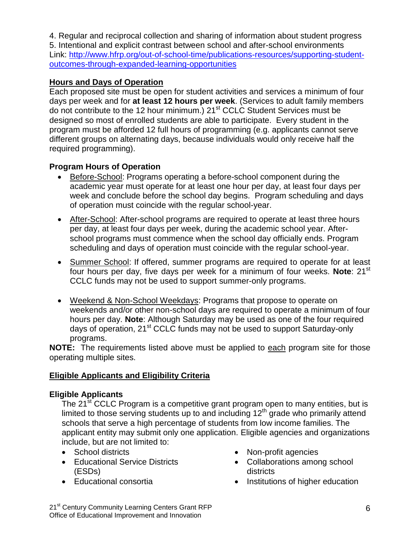4. Regular and reciprocal collection and sharing of information about student progress 5. Intentional and explicit contrast between school and after-school environments Link: [http://www.hfrp.org/out-of-school-time/publications-resources/supporting-student](http://www.hfrp.org/out-of-school-time/publications-resources/supporting-student-outcomes-through-expanded-learning-opportunities)[outcomes-through-expanded-learning-opportunities](http://www.hfrp.org/out-of-school-time/publications-resources/supporting-student-outcomes-through-expanded-learning-opportunities)

#### **Hours and Days of Operation**

Each proposed site must be open for student activities and services a minimum of four days per week and for **at least 12 hours per week**. (Services to adult family members do not contribute to the 12 hour minimum.) 21<sup>st</sup> CCLC Student Services must be designed so most of enrolled students are able to participate. Every student in the program must be afforded 12 full hours of programming (e.g. applicants cannot serve different groups on alternating days, because individuals would only receive half the required programming).

#### **Program Hours of Operation**

- Before-School: Programs operating a before-school component during the academic year must operate for at least one hour per day, at least four days per week and conclude before the school day begins. Program scheduling and days of operation must coincide with the regular school-year.
- After-School: After-school programs are required to operate at least three hours per day, at least four days per week, during the academic school year. Afterschool programs must commence when the school day officially ends. Program scheduling and days of operation must coincide with the regular school-year.
- Summer School: If offered, summer programs are required to operate for at least four hours per day, five days per week for a minimum of four weeks. **Note**: 21<sup>st</sup> CCLC funds may not be used to support summer-only programs.
- Weekend & Non-School Weekdays: Programs that propose to operate on weekends and/or other non-school days are required to operate a minimum of four hours per day. **Note**: Although Saturday may be used as one of the four required days of operation, 21<sup>st</sup> CCLC funds may not be used to support Saturday-only programs.

**NOTE:** The requirements listed above must be applied to each program site for those operating multiple sites.

#### **Eligible Applicants and Eligibility Criteria**

#### **Eligible Applicants**

The 21<sup>st</sup> CCLC Program is a competitive grant program open to many entities, but is limited to those serving students up to and including  $12<sup>th</sup>$  grade who primarily attend schools that serve a high percentage of students from low income families. The applicant entity may submit only one application. Eligible agencies and organizations include, but are not limited to:

- School districts
- **Educational Service Districts** (ESDs)
- Educational consortia
- Non-profit agencies
- Collaborations among school districts
- Institutions of higher education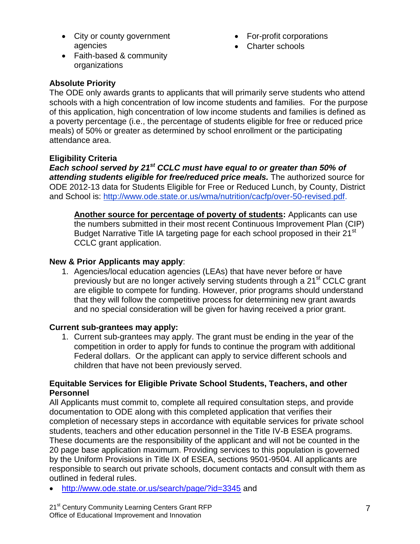• City or county government agencies

- For-profit corporations
- Charter schools

 Faith-based & community organizations

#### **Absolute Priority**

The ODE only awards grants to applicants that will primarily serve students who attend schools with a high concentration of low income students and families. For the purpose of this application, high concentration of low income students and families is defined as a poverty percentage (i.e., the percentage of students eligible for free or reduced price meals) of 50% or greater as determined by school enrollment or the participating attendance area.

#### **Eligibility Criteria**

*Each school served by 21st CCLC must have equal to or greater than 50% of attending students eligible for free/reduced price meals.* The authorized source for ODE 2012-13 data for Students Eligible for Free or Reduced Lunch, by County, District and School is: [http://www.ode.state.or.us/wma/nutrition/cacfp/over-50-revised.pdf.](http://www.ode.state.or.us/wma/nutrition/cacfp/over-50-revised.pdf)

**Another source for percentage of poverty of students:** Applicants can use the numbers submitted in their most recent Continuous Improvement Plan (CIP) Budget Narrative Title IA targeting page for each school proposed in their 21<sup>st</sup> CCLC grant application.

#### **New & Prior Applicants may apply**:

1. Agencies/local education agencies (LEAs) that have never before or have previously but are no longer actively serving students through a 21<sup>st</sup> CCLC grant are eligible to compete for funding. However, prior programs should understand that they will follow the competitive process for determining new grant awards and no special consideration will be given for having received a prior grant.

#### **Current sub-grantees may apply:**

1. Current sub-grantees may apply. The grant must be ending in the year of the competition in order to apply for funds to continue the program with additional Federal dollars. Or the applicant can apply to service different schools and children that have not been previously served.

#### **Equitable Services for Eligible Private School Students, Teachers, and other Personnel**

All Applicants must commit to, complete all required consultation steps, and provide documentation to ODE along with this completed application that verifies their completion of necessary steps in accordance with equitable services for private school students, teachers and other education personnel in the Title IV-B ESEA programs. These documents are the responsibility of the applicant and will not be counted in the 20 page base application maximum. Providing services to this population is governed by the Uniform Provisions in Title IX of ESEA, sections 9501-9504. All applicants are responsible to search out private schools, document contacts and consult with them as outlined in federal rules.

<http://www.ode.state.or.us/search/page/?id=3345> and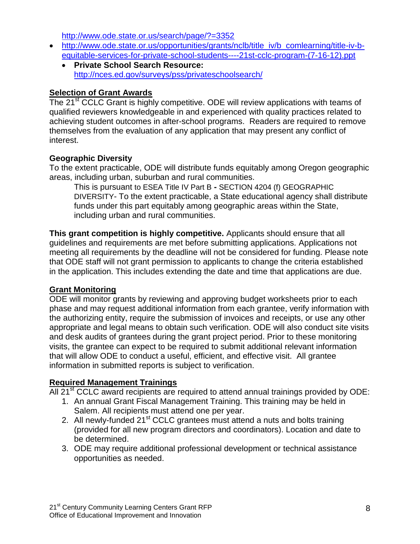<http://www.ode.state.or.us/search/page/?=3352>

- [http://www.ode.state.or.us/opportunities/grants/nclb/title\\_iv/b\\_comlearning/title-iv-b](http://www.ode.state.or.us/opportunities/grants/nclb/title_iv/b_comlearning/title-iv-b-equitable-services-for-private-school-students----21st-cclc-program-(7-16-12).ppt)[equitable-services-for-private-school-students----21st-cclc-program-\(7-16-12\).ppt](http://www.ode.state.or.us/opportunities/grants/nclb/title_iv/b_comlearning/title-iv-b-equitable-services-for-private-school-students----21st-cclc-program-(7-16-12).ppt)
	- **Private School Search Resource:** <http://nces.ed.gov/surveys/pss/privateschoolsearch/>

#### **Selection of Grant Awards**

The 21<sup>st</sup> CCLC Grant is highly competitive. ODE will review applications with teams of qualified reviewers knowledgeable in and experienced with quality practices related to achieving student outcomes in after-school programs. Readers are required to remove themselves from the evaluation of any application that may present any conflict of interest.

#### **Geographic Diversity**

To the extent practicable, ODE will distribute funds equitably among Oregon geographic areas, including urban, suburban and rural communities.

This is pursuant to ESEA Title IV Part B **-** SECTION 4204 (f) GEOGRAPHIC DIVERSITY- To the extent practicable, a State educational agency shall distribute funds under this part equitably among geographic areas within the State, including urban and rural communities.

**This grant competition is highly competitive.** Applicants should ensure that all guidelines and requirements are met before submitting applications. Applications not meeting all requirements by the deadline will not be considered for funding. Please note that ODE staff will not grant permission to applicants to change the criteria established in the application. This includes extending the date and time that applications are due.

#### **Grant Monitoring**

ODE will monitor grants by reviewing and approving budget worksheets prior to each phase and may request additional information from each grantee, verify information with the authorizing entity, require the submission of invoices and receipts, or use any other appropriate and legal means to obtain such verification. ODE will also conduct site visits and desk audits of grantees during the grant project period. Prior to these monitoring visits, the grantee can expect to be required to submit additional relevant information that will allow ODE to conduct a useful, efficient, and effective visit. All grantee information in submitted reports is subject to verification.

#### **Required Management Trainings**

All 21 $^{\rm st}$  CCLC award recipients are required to attend annual trainings provided by ODE:

- 1. An annual Grant Fiscal Management Training. This training may be held in Salem. All recipients must attend one per year.
- 2. All newly-funded 21<sup>st</sup> CCLC grantees must attend a nuts and bolts training (provided for all new program directors and coordinators). Location and date to be determined.
- 3. ODE may require additional professional development or technical assistance opportunities as needed.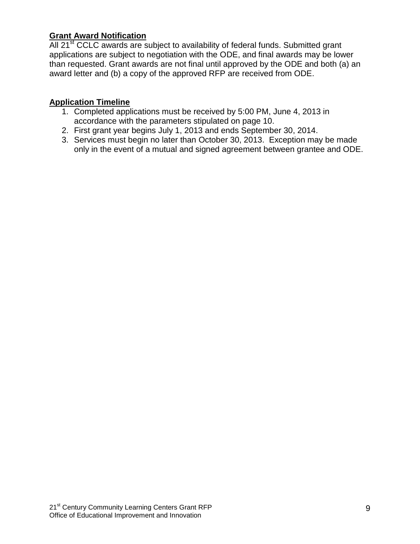#### **Grant Award Notification**

All 21<sup>st</sup> CCLC awards are subject to availability of federal funds. Submitted grant applications are subject to negotiation with the ODE, and final awards may be lower than requested. Grant awards are not final until approved by the ODE and both (a) an award letter and (b) a copy of the approved RFP are received from ODE.

#### **Application Timeline**

- 1. Completed applications must be received by 5:00 PM, June 4, 2013 in accordance with the parameters stipulated on page 10.
- 2. First grant year begins July 1, 2013 and ends September 30, 2014.
- 3. Services must begin no later than October 30, 2013. Exception may be made only in the event of a mutual and signed agreement between grantee and ODE.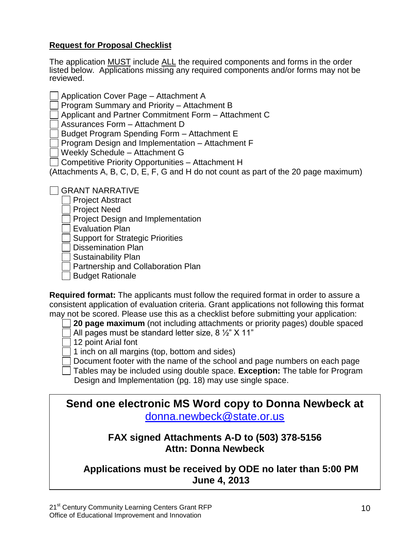#### **Request for Proposal Checklist**

The application MUST include ALL the required components and forms in the order listed below. Applications missing any required components and/or forms may not be reviewed.

Application Cover Page – Attachment A

Program Summary and Priority – Attachment B

Applicant and Partner Commitment Form – Attachment C

Assurances Form – Attachment D

Budget Program Spending Form – Attachment E

Program Design and Implementation – Attachment F

Weekly Schedule – Attachment G

Competitive Priority Opportunities – Attachment H

(Attachments A, B, C, D, E, F, G and H do not count as part of the 20 page maximum)

GRANT NARRATIVE

- Project Abstract
- Project Need

Project Design and Implementation

Evaluation Plan

Support for Strategic Priorities

Dissemination Plan

Sustainability Plan

Partnership and Collaboration Plan

Budget Rationale

**Required format:** The applicants must follow the required format in order to assure a consistent application of evaluation criteria. Grant applications not following this format may not be scored. Please use this as a checklist before submitting your application:

**20 page maximum** (not including attachments or priority pages) double spaced

All pages must be standard letter size, 8  $\frac{1}{2}$  X 11"

12 point Arial font

p

 $\lceil$  1 inch on all margins (top, bottom and sides)

Document footer with the name of the school and page numbers on each page

Tables may be included using double space. **Exception:** The table for Program Design and Implementation (pg. 18) may use single space.

**Send one electronic MS Word copy to Donna Newbeck at**  [donna.newbeck@state.or.us](mailto:donna.newbeck@state.or.us)

### **FAX signed Attachments A-D to (503) 378-5156 Attn: Donna Newbeck**

**Applications must be received by ODE no later than 5:00 PM June 4, 2013**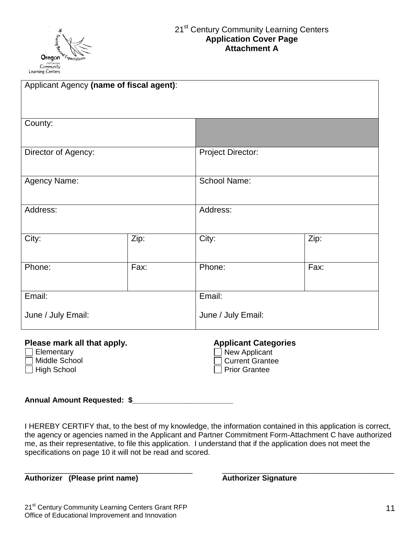

| Applicant Agency (name of fiscal agent): |      |                          |      |  |  |  |
|------------------------------------------|------|--------------------------|------|--|--|--|
|                                          |      |                          |      |  |  |  |
| County:                                  |      |                          |      |  |  |  |
| Director of Agency:                      |      | <b>Project Director:</b> |      |  |  |  |
| Agency Name:                             |      | School Name:             |      |  |  |  |
| Address:                                 |      | Address:                 |      |  |  |  |
| City:                                    | Zip: | City:                    | Zip: |  |  |  |
| Phone:<br>Fax:                           |      | Phone:                   | Fax: |  |  |  |
| Email:                                   |      | Email:                   |      |  |  |  |
| June / July Email:                       |      | June / July Email:       |      |  |  |  |

## **Please mark all that apply. Applicant Categories**<br>□ Elementary **Applicant** Dew Applicant

- Elementary New Applicant **Current Grantee**
- □ High School Prior Grantee

**Annual Amount Requested: \$\_\_\_\_\_\_\_\_\_\_\_\_\_\_\_\_\_\_\_\_\_\_\_\_**

I HEREBY CERTIFY that, to the best of my knowledge, the information contained in this application is correct, the agency or agencies named in the Applicant and Partner Commitment Form-Attachment C have authorized me, as their representative, to file this application. I understand that if the application does not meet the specifications on page 10 it will not be read and scored.

\_\_\_\_\_\_\_\_\_\_\_\_\_\_\_\_\_\_\_\_\_\_\_\_\_\_\_\_\_\_\_\_\_\_\_\_\_\_\_\_ \_\_\_\_\_\_\_\_\_\_\_\_\_\_\_\_\_\_\_\_\_\_\_\_\_\_\_\_\_\_\_\_\_\_\_\_\_\_\_\_\_

**Authorizer (Please print name) Authorizer Signature**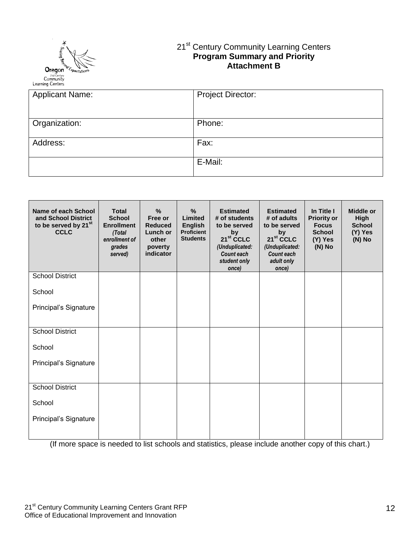

#### 21<sup>st</sup> Century Community Learning Centers **Program Summary and Priority Attachment B**

| <b>Applicant Name:</b> | <b>Project Director:</b> |
|------------------------|--------------------------|
| Organization:          | Phone:                   |
| Address:               | Fax:                     |
|                        | E-Mail:                  |

| Name of each School<br>and School District<br>to be served by 21 <sup>st</sup><br><b>CCLC</b> | <b>Total</b><br><b>School</b><br><b>Enrollment</b><br>(Total<br>enrollment of<br>grades<br>served) | %<br>Free or<br><b>Reduced</b><br>Lunch or<br>other<br>poverty<br>indicator | $\%$<br>Limited<br><b>English</b><br><b>Proficient</b><br><b>Students</b> | <b>Estimated</b><br># of students<br>to be served<br>by<br>21 <sup>st</sup> CCLC<br>(Unduplicated:<br>Count each<br>student only<br>once) | <b>Estimated</b><br># of adults<br>to be served<br>by<br>21 <sup>st</sup> CCLC<br>(Unduplicated:<br><b>Count each</b><br>adult only<br>once) | In Title I<br><b>Priority or</b><br><b>Focus</b><br><b>School</b><br>(Y) Yes<br>(N) No | <b>Middle or</b><br>High<br><b>School</b><br>(Y) Yes<br>$(N)$ No |
|-----------------------------------------------------------------------------------------------|----------------------------------------------------------------------------------------------------|-----------------------------------------------------------------------------|---------------------------------------------------------------------------|-------------------------------------------------------------------------------------------------------------------------------------------|----------------------------------------------------------------------------------------------------------------------------------------------|----------------------------------------------------------------------------------------|------------------------------------------------------------------|
| <b>School District</b>                                                                        |                                                                                                    |                                                                             |                                                                           |                                                                                                                                           |                                                                                                                                              |                                                                                        |                                                                  |
| School                                                                                        |                                                                                                    |                                                                             |                                                                           |                                                                                                                                           |                                                                                                                                              |                                                                                        |                                                                  |
| Principal's Signature                                                                         |                                                                                                    |                                                                             |                                                                           |                                                                                                                                           |                                                                                                                                              |                                                                                        |                                                                  |
| <b>School District</b>                                                                        |                                                                                                    |                                                                             |                                                                           |                                                                                                                                           |                                                                                                                                              |                                                                                        |                                                                  |
| School                                                                                        |                                                                                                    |                                                                             |                                                                           |                                                                                                                                           |                                                                                                                                              |                                                                                        |                                                                  |
| Principal's Signature                                                                         |                                                                                                    |                                                                             |                                                                           |                                                                                                                                           |                                                                                                                                              |                                                                                        |                                                                  |
| <b>School District</b>                                                                        |                                                                                                    |                                                                             |                                                                           |                                                                                                                                           |                                                                                                                                              |                                                                                        |                                                                  |
| School                                                                                        |                                                                                                    |                                                                             |                                                                           |                                                                                                                                           |                                                                                                                                              |                                                                                        |                                                                  |
| Principal's Signature                                                                         |                                                                                                    |                                                                             |                                                                           |                                                                                                                                           |                                                                                                                                              |                                                                                        |                                                                  |

(If more space is needed to list schools and statistics, please include another copy of this chart.)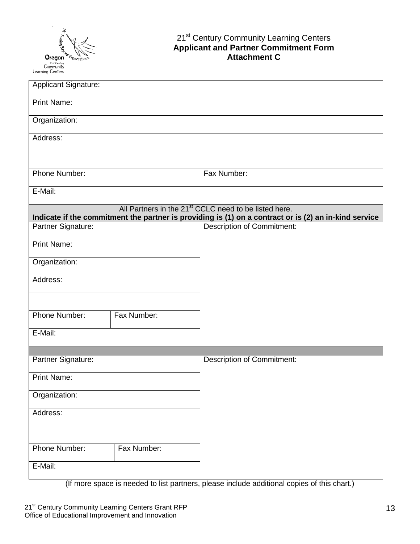

#### 21<sup>st</sup> Century Community Learning Centers **Applicant and Partner Commitment Form Attachment C**

| <b>Applicant Signature:</b>  |                                                                                                                                                                            |
|------------------------------|----------------------------------------------------------------------------------------------------------------------------------------------------------------------------|
| <b>Print Name:</b>           |                                                                                                                                                                            |
| Organization:                |                                                                                                                                                                            |
| Address:                     |                                                                                                                                                                            |
|                              |                                                                                                                                                                            |
| Phone Number:                | Fax Number:                                                                                                                                                                |
| E-Mail:                      |                                                                                                                                                                            |
|                              | All Partners in the 21 <sup>st</sup> CCLC need to be listed here.<br>Indicate if the commitment the partner is providing is (1) on a contract or is (2) an in-kind service |
| Partner Signature:           | <b>Description of Commitment:</b>                                                                                                                                          |
| <b>Print Name:</b>           |                                                                                                                                                                            |
| Organization:                |                                                                                                                                                                            |
| Address:                     |                                                                                                                                                                            |
|                              |                                                                                                                                                                            |
| Phone Number:<br>Fax Number: |                                                                                                                                                                            |
| $E$ -Mail:                   |                                                                                                                                                                            |
| Partner Signature:           | Description of Commitment:                                                                                                                                                 |
| <b>Print Name:</b>           |                                                                                                                                                                            |
| Organization:                |                                                                                                                                                                            |
| Address:                     |                                                                                                                                                                            |
|                              |                                                                                                                                                                            |
| Phone Number:<br>Fax Number: |                                                                                                                                                                            |
| E-Mail:                      |                                                                                                                                                                            |
|                              |                                                                                                                                                                            |

(If more space is needed to list partners, please include additional copies of this chart.)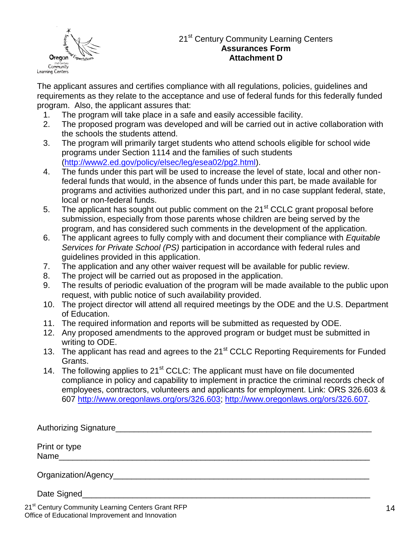

#### 21<sup>st</sup> Century Community Learning Centers **Assurances Form Attachment D**

The applicant assures and certifies compliance with all regulations, policies, guidelines and requirements as they relate to the acceptance and use of federal funds for this federally funded program. Also, the applicant assures that:

- 1. The program will take place in a safe and easily accessible facility.
- 2. The proposed program was developed and will be carried out in active collaboration with the schools the students attend.
- 3. The program will primarily target students who attend schools eligible for school wide programs under Section 1114 and the families of such students [\(http://www2.ed.gov/policy/elsec/leg/esea02/pg2.html\)](http://www2.ed.gov/policy/elsec/leg/esea02/pg2.html).
- 4. The funds under this part will be used to increase the level of state, local and other nonfederal funds that would, in the absence of funds under this part, be made available for programs and activities authorized under this part, and in no case supplant federal, state, local or non-federal funds.
- 5. The applicant has sought out public comment on the 21<sup>st</sup> CCLC grant proposal before submission, especially from those parents whose children are being served by the program, and has considered such comments in the development of the application.
- 6. The applicant agrees to fully comply with and document their compliance with *Equitable Services for Private School (PS)* participation in accordance with federal rules and guidelines provided in this application.
- 7. The application and any other waiver request will be available for public review.
- 8. The project will be carried out as proposed in the application.
- 9. The results of periodic evaluation of the program will be made available to the public upon request, with public notice of such availability provided.
- 10. The project director will attend all required meetings by the ODE and the U.S. Department of Education.
- 11. The required information and reports will be submitted as requested by ODE.
- 12. Any proposed amendments to the approved program or budget must be submitted in writing to ODE.
- 13. The applicant has read and agrees to the 21<sup>st</sup> CCLC Reporting Requirements for Funded Grants.
- 14. The following applies to  $21<sup>st</sup>$  CCLC: The applicant must have on file documented compliance in policy and capability to implement in practice the criminal records check of employees, contractors, volunteers and applicants for employment. Link: ORS 326.603 & 607 [http://www.oregonlaws.org/ors/326.603;](http://www.oregonlaws.org/ors/326.603) [http://www.oregonlaws.org/ors/326.607.](http://www.oregonlaws.org/ors/326.607)

| Print or type<br>Name and the state of the state of the state of the state of the state of the state of the state of the state of the state of the state of the state of the state of the state of the state of the state of the state of the s |
|-------------------------------------------------------------------------------------------------------------------------------------------------------------------------------------------------------------------------------------------------|
|                                                                                                                                                                                                                                                 |
| Date Signed                                                                                                                                                                                                                                     |

21<sup>st</sup> Century Community Learning Centers Grant RFP Office of Educational Improvement and Innovation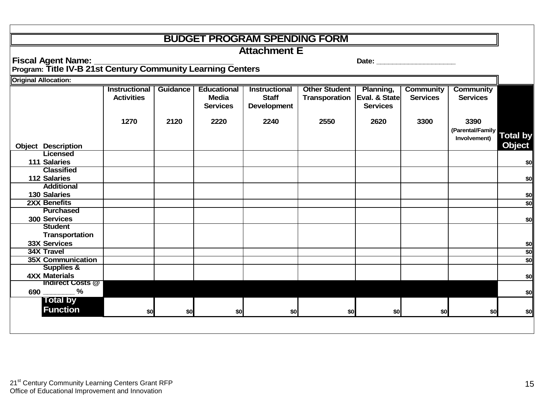### **BUDGET PROGRAM SPENDING FORM**

**Attachment E**

**Fiscal Agent Name: \_\_\_\_\_\_\_\_\_\_\_\_\_\_\_\_\_\_\_\_\_\_\_\_\_\_\_\_\_ Date: \_\_\_\_\_\_\_\_\_\_\_\_\_\_\_\_\_\_\_\_**

**Program: Title IV-B 21st Century Community Learning Centers** 

| <b>Original Allocation:</b> |                      |          |                    |                      |                      |                 |                  |                  |                 |
|-----------------------------|----------------------|----------|--------------------|----------------------|----------------------|-----------------|------------------|------------------|-----------------|
|                             | <b>Instructional</b> | Guidance | <b>Educational</b> | <b>Instructional</b> | <b>Other Student</b> | Planning,       | <b>Community</b> | <b>Community</b> |                 |
|                             | <b>Activities</b>    |          | <b>Media</b>       | <b>Staff</b>         | Transporation        | Eval. & State   | <b>Services</b>  | <b>Services</b>  |                 |
|                             |                      |          | <b>Services</b>    | Development          |                      | <b>Services</b> |                  |                  |                 |
|                             |                      |          |                    |                      |                      |                 |                  |                  |                 |
|                             | 1270                 | 2120     | 2220               | 2240                 | 2550                 | 2620            | 3300             | 3390             |                 |
|                             |                      |          |                    |                      |                      |                 |                  | (Parental/Family |                 |
|                             |                      |          |                    |                      |                      |                 |                  | Involvement)     | <b>Total by</b> |
| <b>Object Description</b>   |                      |          |                    |                      |                      |                 |                  |                  | <b>Object</b>   |
| Licensed                    |                      |          |                    |                      |                      |                 |                  |                  |                 |
| 111 Salaries                |                      |          |                    |                      |                      |                 |                  |                  | \$0             |
| <b>Classified</b>           |                      |          |                    |                      |                      |                 |                  |                  |                 |
| <b>112 Salaries</b>         |                      |          |                    |                      |                      |                 |                  |                  | \$0             |
| <b>Additional</b>           |                      |          |                    |                      |                      |                 |                  |                  |                 |
| <b>130 Salaries</b>         |                      |          |                    |                      |                      |                 |                  |                  | \$0             |
| 2XX Benefits                |                      |          |                    |                      |                      |                 |                  |                  | \$0             |
| <b>Purchased</b>            |                      |          |                    |                      |                      |                 |                  |                  |                 |
| 300 Services                |                      |          |                    |                      |                      |                 |                  |                  | \$0             |
| <b>Student</b>              |                      |          |                    |                      |                      |                 |                  |                  |                 |
| Transportation              |                      |          |                    |                      |                      |                 |                  |                  |                 |
| <b>33X Services</b>         |                      |          |                    |                      |                      |                 |                  |                  | \$0             |
| <b>34X Travel</b>           |                      |          |                    |                      |                      |                 |                  |                  | \$0             |
| <b>35X Communication</b>    |                      |          |                    |                      |                      |                 |                  |                  | \$0             |
| <b>Supplies &amp;</b>       |                      |          |                    |                      |                      |                 |                  |                  |                 |
| <b>4XX Materials</b>        |                      |          |                    |                      |                      |                 |                  |                  | \$0             |
| <b>Indirect Costs @</b>     |                      |          |                    |                      |                      |                 |                  |                  |                 |
| $\%$<br>690                 |                      |          |                    |                      |                      |                 |                  |                  | \$0             |
| <b>Total by</b>             |                      |          |                    |                      |                      |                 |                  |                  |                 |
| <b>Function</b>             | \$0                  | \$0      | \$0                | \$0                  | \$0                  | \$0             | \$0              | \$0              | \$0             |
|                             |                      |          |                    |                      |                      |                 |                  |                  |                 |
|                             |                      |          |                    |                      |                      |                 |                  |                  |                 |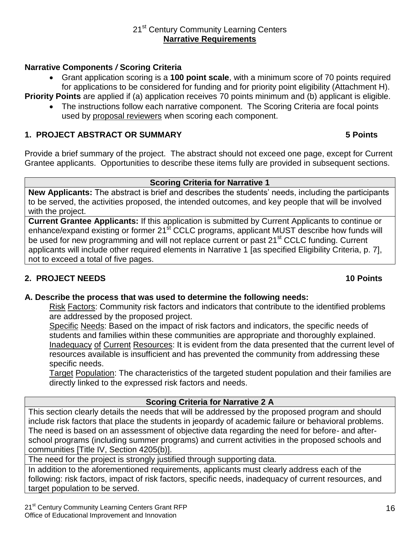#### 21<sup>st</sup> Century Community Learning Centers **Narrative Requirements**

#### **Narrative Components** */* **Scoring Criteria**

 Grant application scoring is a **100 point scale**, with a minimum score of 70 points required for applications to be considered for funding and for priority point eligibility (Attachment H).

**Priority Points** are applied if (a) application receives 70 points minimum and (b) applicant is eligible.

 The instructions follow each narrative component. The Scoring Criteria are focal points used by proposal reviewers when scoring each component.

#### **1. PROJECT ABSTRACT OR SUMMARY 5 Points**

Provide a brief summary of the project. The abstract should not exceed one page, except for Current Grantee applicants. Opportunities to describe these items fully are provided in subsequent sections.

#### **Scoring Criteria for Narrative 1**

**New Applicants:** The abstract is brief and describes the students' needs, including the participants to be served, the activities proposed, the intended outcomes, and key people that will be involved with the project.

**Current Grantee Applicants:** If this application is submitted by Current Applicants to continue or enhance/expand existing or former 21<sup>st</sup> CCLC programs, applicant MUST describe how funds will be used for new programming and will not replace current or past 21<sup>st</sup> CCLC funding. Current applicants will include other required elements in Narrative 1 [as specified Eligibility Criteria, p. 7], not to exceed a total of five pages.

#### **2. PROJECT NEEDS 10 Points**

#### **A. Describe the process that was used to determine the following needs:**

Risk Factors: Community risk factors and indicators that contribute to the identified problems are addressed by the proposed project.

Specific Needs: Based on the impact of risk factors and indicators, the specific needs of students and families within these communities are appropriate and thoroughly explained. Inadequacy of Current Resources: It is evident from the data presented that the current level of resources available is insufficient and has prevented the community from addressing these specific needs.

Target Population: The characteristics of the targeted student population and their families are directly linked to the expressed risk factors and needs.

#### **Scoring Criteria for Narrative 2 A**

This section clearly details the needs that will be addressed by the proposed program and should include risk factors that place the students in jeopardy of academic failure or behavioral problems. The need is based on an assessment of objective data regarding the need for before- and afterschool programs (including summer programs) and current activities in the proposed schools and communities [Title IV, Section 4205(b)].

The need for the project is strongly justified through supporting data.

In addition to the aforementioned requirements, applicants must clearly address each of the following: risk factors, impact of risk factors, specific needs, inadequacy of current resources, and target population to be served.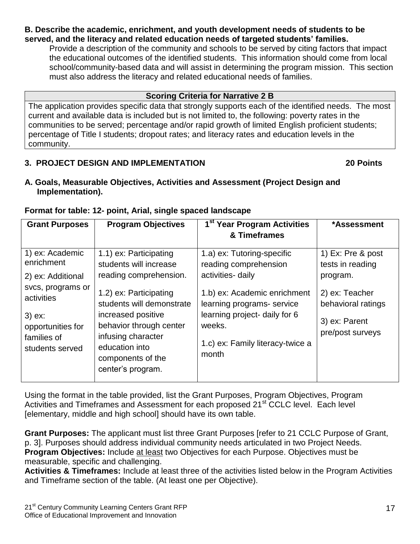#### **B. Describe the academic, enrichment, and youth development needs of students to be served, and the literacy and related education needs of targeted students' families.**

Provide a description of the community and schools to be served by citing factors that impact the educational outcomes of the identified students. This information should come from local school/community-based data and will assist in determining the program mission. This section must also address the literacy and related educational needs of families.

#### **Scoring Criteria for Narrative 2 B**

The application provides specific data that strongly supports each of the identified needs. The most current and available data is included but is not limited to, the following: poverty rates in the communities to be served; percentage and/or rapid growth of limited English proficient students; percentage of Title I students; dropout rates; and literacy rates and education levels in the community.

#### **3. PROJECT DESIGN AND IMPLEMENTATION 20 Points**

**A. Goals, Measurable Objectives, Activities and Assessment (Project Design and Implementation).**

#### **Format for table: 12- point, Arial, single spaced landscape**

| <b>Grant Purposes</b>                                                                                                                                    | <b>Program Objectives</b>                                                                                                                                                                                                                                            | 1 <sup>st</sup> Year Program Activities                                                                                                                                                                                        | *Assessment                                                                                                                    |
|----------------------------------------------------------------------------------------------------------------------------------------------------------|----------------------------------------------------------------------------------------------------------------------------------------------------------------------------------------------------------------------------------------------------------------------|--------------------------------------------------------------------------------------------------------------------------------------------------------------------------------------------------------------------------------|--------------------------------------------------------------------------------------------------------------------------------|
|                                                                                                                                                          |                                                                                                                                                                                                                                                                      | & Timeframes                                                                                                                                                                                                                   |                                                                                                                                |
| 1) ex: Academic<br>enrichment<br>2) ex: Additional<br>svcs, programs or<br>activities<br>$3)$ ex:<br>opportunities for<br>families of<br>students served | 1.1) ex: Participating<br>students will increase<br>reading comprehension.<br>1.2) ex: Participating<br>students will demonstrate<br>increased positive<br>behavior through center<br>infusing character<br>education into<br>components of the<br>center's program. | 1.a) ex: Tutoring-specific<br>reading comprehension<br>activities- daily<br>1.b) ex: Academic enrichment<br>learning programs- service<br>learning project- daily for 6<br>weeks.<br>1.c) ex: Family literacy-twice a<br>month | 1) Ex: Pre & post<br>tests in reading<br>program.<br>2) ex: Teacher<br>behavioral ratings<br>3) ex: Parent<br>pre/post surveys |

Using the format in the table provided, list the Grant Purposes, Program Objectives, Program Activities and Timeframes and Assessment for each proposed 21<sup>st</sup> CCLC level. Each level [elementary, middle and high school] should have its own table.

**Grant Purposes:** The applicant must list three Grant Purposes [refer to 21 CCLC Purpose of Grant, p. 3]. Purposes should address individual community needs articulated in two Project Needs. **Program Objectives:** Include at least two Objectives for each Purpose. Objectives must be measurable, specific and challenging.

**Activities & Timeframes:** Include at least three of the activities listed below in the Program Activities and Timeframe section of the table. (At least one per Objective).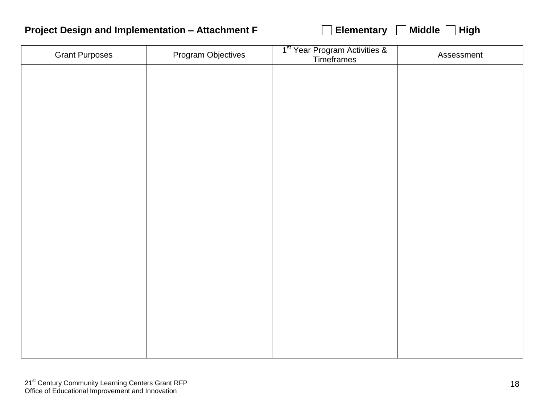### **Project Design and Implementation – Attachment F Elementary Middle High**

| <b>Grant Purposes</b> | Program Objectives | 1 <sup>st</sup> Year Program Activities &<br>Timeframes | Assessment |
|-----------------------|--------------------|---------------------------------------------------------|------------|
|                       |                    |                                                         |            |
|                       |                    |                                                         |            |
|                       |                    |                                                         |            |
|                       |                    |                                                         |            |
|                       |                    |                                                         |            |
|                       |                    |                                                         |            |
|                       |                    |                                                         |            |
|                       |                    |                                                         |            |
|                       |                    |                                                         |            |
|                       |                    |                                                         |            |
|                       |                    |                                                         |            |
|                       |                    |                                                         |            |
|                       |                    |                                                         |            |
|                       |                    |                                                         |            |
|                       |                    |                                                         |            |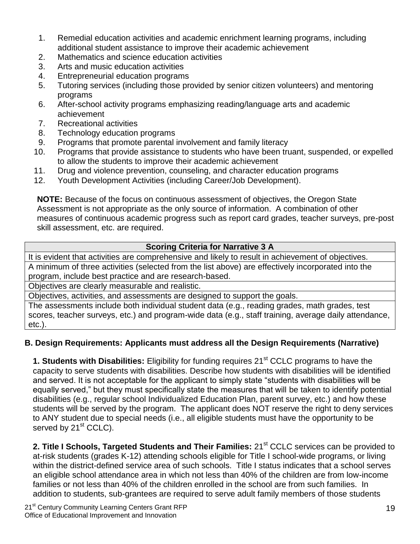- 1. Remedial education activities and academic enrichment learning programs, including additional student assistance to improve their academic achievement
- 2. Mathematics and science education activities
- 3. Arts and music education activities
- 4. Entrepreneurial education programs
- 5. Tutoring services (including those provided by senior citizen volunteers) and mentoring programs
- 6. After-school activity programs emphasizing reading/language arts and academic achievement
- 7. Recreational activities
- 8. Technology education programs
- 9. Programs that promote parental involvement and family literacy
- 10. Programs that provide assistance to students who have been truant, suspended, or expelled to allow the students to improve their academic achievement
- 11. Drug and violence prevention, counseling, and character education programs
- 12. Youth Development Activities (including Career/Job Development).

**NOTE:** Because of the focus on continuous assessment of objectives, the Oregon State Assessment is not appropriate as the only source of information. A combination of other measures of continuous academic progress such as report card grades, teacher surveys, pre-post skill assessment, etc. are required.

#### **Scoring Criteria for Narrative 3 A**

It is evident that activities are comprehensive and likely to result in achievement of objectives. A minimum of three activities (selected from the list above) are effectively incorporated into the program, include best practice and are research-based.

Objectives are clearly measurable and realistic.

Objectives, activities, and assessments are designed to support the goals.

The assessments include both individual student data (e.g., reading grades, math grades, test scores, teacher surveys, etc.) and program-wide data (e.g., staff training, average daily attendance, etc.).

#### **B. Design Requirements: Applicants must address all the Design Requirements (Narrative)**

**1. Students with Disabilities:** Eligibility for funding requires 21<sup>st</sup> CCLC programs to have the capacity to serve students with disabilities. Describe how students with disabilities will be identified and served. It is not acceptable for the applicant to simply state "students with disabilities will be equally served," but they must specifically state the measures that will be taken to identify potential disabilities (e.g., regular school Individualized Education Plan, parent survey, etc.) and how these students will be served by the program. The applicant does NOT reserve the right to deny services to ANY student due to special needs (i.e., all eligible students must have the opportunity to be served by 21<sup>st</sup> CCLC).

**2. Title I Schools, Targeted Students and Their Families:** 21<sup>st</sup> CCLC services can be provided to at-risk students (grades K-12) attending schools eligible for Title I school-wide programs, or living within the district-defined service area of such schools. Title I status indicates that a school serves an eligible school attendance area in which not less than 40% of the children are from low-income families or not less than 40% of the children enrolled in the school are from such families. In addition to students, sub-grantees are required to serve adult family members of those students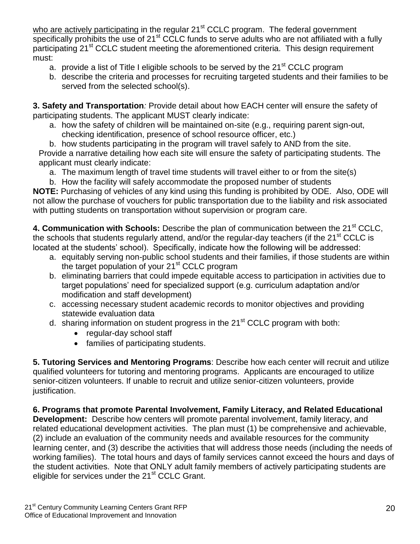who are actively participating in the regular 21<sup>st</sup> CCLC program. The federal government specifically prohibits the use of 21<sup>st</sup> CCLC funds to serve adults who are not affiliated with a fully participating 21<sup>st</sup> CCLC student meeting the aforementioned criteria. This design requirement must:

- a. provide a list of Title I eligible schools to be served by the  $21<sup>st</sup> CCLC$  program
- b. describe the criteria and processes for recruiting targeted students and their families to be served from the selected school(s).

**3. Safety and Transportation***:* Provide detail about how EACH center will ensure the safety of participating students. The applicant MUST clearly indicate:

a. how the safety of children will be maintained on-site (e.g., requiring parent sign-out, checking identification, presence of school resource officer, etc.)

b. how students participating in the program will travel safely to AND from the site. Provide a narrative detailing how each site will ensure the safety of participating students. The applicant must clearly indicate:

a. The maximum length of travel time students will travel either to or from the site(s)

b. How the facility will safely accommodate the proposed number of students

**NOTE:** Purchasing of vehicles of any kind using this funding is prohibited by ODE. Also, ODE will not allow the purchase of vouchers for public transportation due to the liability and risk associated with putting students on transportation without supervision or program care.

**4. Communication with Schools:** Describe the plan of communication between the 21<sup>st</sup> CCLC. the schools that students regularly attend, and/or the regular-day teachers (if the  $21<sup>st</sup>$  CCLC is located at the students' school). Specifically, indicate how the following will be addressed:

- a. equitably serving non-public school students and their families, if those students are within the target population of your 21<sup>st</sup> CCLC program
- b. eliminating barriers that could impede equitable access to participation in activities due to target populations' need for specialized support (e.g. curriculum adaptation and/or modification and staff development)
- c. accessing necessary student academic records to monitor objectives and providing statewide evaluation data
- d. sharing information on student progress in the 21<sup>st</sup> CCLC program with both:
	- regular-day school staff
	- families of participating students.

**5. Tutoring Services and Mentoring Programs**: Describe how each center will recruit and utilize qualified volunteers for tutoring and mentoring programs. Applicants are encouraged to utilize senior-citizen volunteers. If unable to recruit and utilize senior-citizen volunteers, provide justification.

**6. Programs that promote Parental Involvement, Family Literacy, and Related Educational Development:** Describe how centers will promote parental involvement, family literacy, and related educational development activities. The plan must (1) be comprehensive and achievable, (2) include an evaluation of the community needs and available resources for the community learning center, and (3) describe the activities that will address those needs (including the needs of working families). The total hours and days of family services cannot exceed the hours and days of the student activities. Note that ONLY adult family members of actively participating students are eligible for services under the 21<sup>st</sup> CCLC Grant.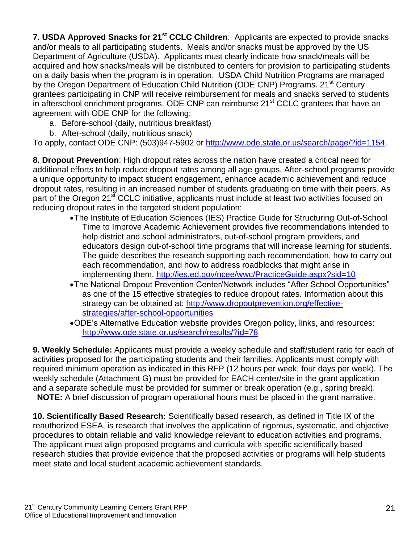**7. USDA Approved Snacks for 21st CCLC Children**: Applicants are expected to provide snacks and/or meals to all participating students. Meals and/or snacks must be approved by the US Department of Agriculture (USDA). Applicants must clearly indicate how snack/meals will be acquired and how snacks/meals will be distributed to centers for provision to participating students on a daily basis when the program is in operation. USDA Child Nutrition Programs are managed by the Oregon Department of Education Child Nutrition (ODE CNP) Programs. 21<sup>st</sup> Century grantees participating in CNP will receive reimbursement for meals and snacks served to students in afterschool enrichment programs. ODE CNP can reimburse 21<sup>st</sup> CCLC grantees that have an agreement with ODE CNP for the following:

- a. Before-school (daily, nutritious breakfast)
- b. After-school (daily, nutritious snack)

To apply, contact ODE CNP: (503)947-5902 or [http://www.ode.state.or.us/search/page/?id=1154.](http://www.ode.state.or.us/search/page/?id=1154)

**8. Dropout Prevention**: High dropout rates across the nation have created a critical need for additional efforts to help reduce dropout rates among all age groups. After-school programs provide a unique opportunity to impact student engagement, enhance academic achievement and reduce dropout rates, resulting in an increased number of students graduating on time with their peers. As part of the Oregon 21<sup>st</sup> CCLC initiative, applicants must include at least two activities focused on reducing dropout rates in the targeted student population:

- The Institute of Education Sciences (IES) Practice Guide for Structuring Out-of-School Time to Improve Academic Achievement provides five recommendations intended to help district and school administrators, out-of-school program providers, and educators design out-of-school time programs that will increase learning for students. The guide describes the research supporting each recommendation, how to carry out each recommendation, and how to address roadblocks that might arise in implementing them.<http://ies.ed.gov/ncee/wwc/PracticeGuide.aspx?sid=10>
- The National Dropout Prevention Center/Network includes "After School Opportunities" as one of the 15 effective strategies to reduce dropout rates. Information about this strategy can be obtained at: [http://www.dropoutprevention.org/effective](http://www.dropoutprevention.org/effective-strategies/after-school-opportunities)[strategies/after-school-opportunities](http://www.dropoutprevention.org/effective-strategies/after-school-opportunities)
- ODE's Alternative Education website provides Oregon policy, links, and resources: <http://www.ode.state.or.us/search/results/?id=78>

**9. Weekly Schedule:** Applicants must provide a weekly schedule and staff/student ratio for each of activities proposed for the participating students and their families*.* Applicants must comply with required minimum operation as indicated in this RFP (12 hours per week, four days per week). The weekly schedule (Attachment G) must be provided for EACH center/site in the grant application and a separate schedule must be provided for summer or break operation (e.g., spring break). **NOTE:** A brief discussion of program operational hours must be placed in the grant narrative.

**10. Scientifically Based Research:** Scientifically based research, as defined in Title IX of the reauthorized ESEA, is research that involves the application of rigorous, systematic, and objective procedures to obtain reliable and valid knowledge relevant to education activities and programs. The applicant must align proposed programs and curricula with specific scientifically based research studies that provide evidence that the proposed activities or programs will help students meet state and local student academic achievement standards.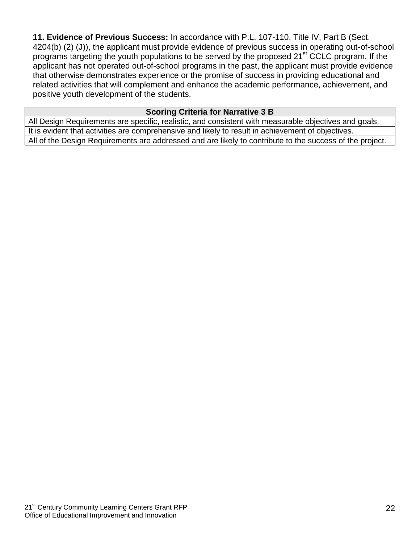**11. Evidence of Previous Success:** In accordance with P.L. 107-110, Title IV, Part B (Sect. 4204(b) (2) (J)), the applicant must provide evidence of previous success in operating out-of-school programs targeting the youth populations to be served by the proposed 21<sup>st</sup> CCLC program. If the applicant has not operated out-of-school programs in the past, the applicant must provide evidence that otherwise demonstrates experience or the promise of success in providing educational and related activities that will complement and enhance the academic performance, achievement, and positive youth development of the students.

#### **Scoring Criteria for Narrative 3 B**

All Design Requirements are specific, realistic, and consistent with measurable objectives and goals. It is evident that activities are comprehensive and likely to result in achievement of objectives. All of the Design Requirements are addressed and are likely to contribute to the success of the project.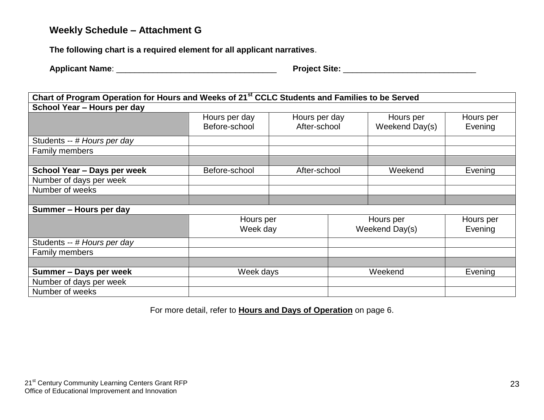### **Weekly Schedule – Attachment G**

**The following chart is a required element for all applicant narratives**.

| Chart of Program Operation for Hours and Weeks of 21 <sup>st</sup> CCLC Students and Families to be Served |                                |                               |  |                             |                      |
|------------------------------------------------------------------------------------------------------------|--------------------------------|-------------------------------|--|-----------------------------|----------------------|
| School Year - Hours per day                                                                                |                                |                               |  |                             |                      |
|                                                                                                            | Hours per day<br>Before-school | Hours per day<br>After-school |  | Hours per<br>Weekend Day(s) | Hours per<br>Evening |
| Students -- # Hours per day                                                                                |                                |                               |  |                             |                      |
| <b>Family members</b>                                                                                      |                                |                               |  |                             |                      |
|                                                                                                            |                                |                               |  |                             |                      |
| School Year - Days per week                                                                                | Before-school                  | After-school                  |  | Weekend                     | Evening              |
| Number of days per week                                                                                    |                                |                               |  |                             |                      |
| Number of weeks                                                                                            |                                |                               |  |                             |                      |
|                                                                                                            |                                |                               |  |                             |                      |
| Summer - Hours per day                                                                                     |                                |                               |  |                             |                      |
|                                                                                                            | Hours per<br>Week day          |                               |  | Hours per<br>Weekend Day(s) | Hours per<br>Evening |
| Students -- # Hours per day                                                                                |                                |                               |  |                             |                      |
| Family members                                                                                             |                                |                               |  |                             |                      |
|                                                                                                            |                                |                               |  |                             |                      |
| Summer - Days per week                                                                                     | Week days                      |                               |  | Weekend                     | Evening              |
| Number of days per week                                                                                    |                                |                               |  |                             |                      |
| Number of weeks                                                                                            |                                |                               |  |                             |                      |

For more detail, refer to **Hours and Days of Operation** on page 6.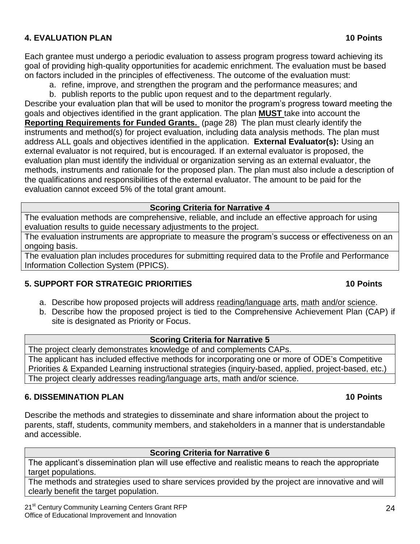#### **4. EVALUATION PLAN 10 Points**

Each grantee must undergo a periodic evaluation to assess program progress toward achieving its goal of providing high-quality opportunities for academic enrichment. The evaluation must be based on factors included in the principles of effectiveness. The outcome of the evaluation must:

a. refine, improve, and strengthen the program and the performance measures; and

b. publish reports to the public upon request and to the department regularly. Describe your evaluation plan that will be used to monitor the program's progress toward meeting the goals and objectives identified in the grant application. The plan **MUST** take into account the **Reporting Requirements for Funded Grants.** (page 28) The plan must clearly identify the instruments and method(s) for project evaluation, including data analysis methods. The plan must address ALL goals and objectives identified in the application. **External Evaluator(s):** Using an external evaluator is not required, but is encouraged*.* If an external evaluator is proposed, the evaluation plan must identify the individual or organization serving as an external evaluator, the methods, instruments and rationale for the proposed plan. The plan must also include a description of the qualifications and responsibilities of the external evaluator. The amount to be paid for the evaluation cannot exceed 5% of the total grant amount.

#### **Scoring Criteria for Narrative 4**

The evaluation methods are comprehensive, reliable, and include an effective approach for using evaluation results to guide necessary adjustments to the project.

The evaluation instruments are appropriate to measure the program's success or effectiveness on an ongoing basis.

The evaluation plan includes procedures for submitting required data to the Profile and Performance Information Collection System (PPICS).

#### **5. SUPPORT FOR STRATEGIC PRIORITIES 10 Points**

#### a. Describe how proposed projects will address reading/language arts, math and/or science.

b. Describe how the proposed project is tied to the Comprehensive Achievement Plan (CAP) if site is designated as Priority or Focus.

#### **Scoring Criteria for Narrative 5**

The project clearly demonstrates knowledge of and complements CAPs. The applicant has included effective methods for incorporating one or more of ODE's Competitive Priorities & Expanded Learning instructional strategies (inquiry-based, applied, project-based, etc.) The project clearly addresses reading/language arts, math and/or science.

#### **6. DISSEMINATION PLAN 10 Points**

Describe the methods and strategies to disseminate and share information about the project to parents, staff, students, community members, and stakeholders in a manner that is understandable and accessible.

#### **Scoring Criteria for Narrative 6**

The applicant's dissemination plan will use effective and realistic means to reach the appropriate target populations.

The methods and strategies used to share services provided by the project are innovative and will clearly benefit the target population.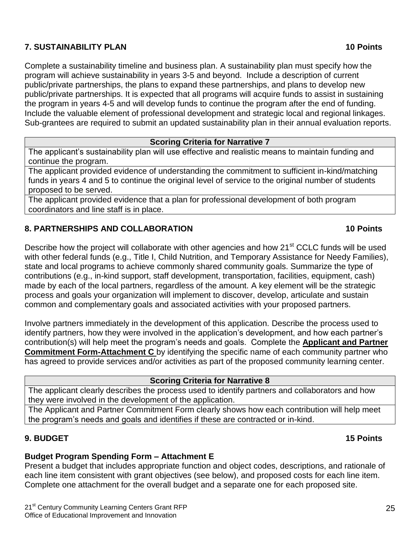#### **7. SUSTAINABILITY PLAN 10 Points**

Complete a sustainability timeline and business plan. A sustainability plan must specify how the program will achieve sustainability in years 3-5 and beyond. Include a description of current public/private partnerships, the plans to expand these partnerships, and plans to develop new public/private partnerships. It is expected that all programs will acquire funds to assist in sustaining the program in years 4-5 and will develop funds to continue the program after the end of funding. Include the valuable element of professional development and strategic local and regional linkages.

Sub-grantees are required to submit an updated sustainability plan in their annual evaluation reports.

#### **Scoring Criteria for Narrative 7**

The applicant's sustainability plan will use effective and realistic means to maintain funding and continue the program.

The applicant provided evidence of understanding the commitment to sufficient in-kind/matching funds in years 4 and 5 to continue the original level of service to the original number of students proposed to be served.

The applicant provided evidence that a plan for professional development of both program coordinators and line staff is in place.

#### **8. PARTNERSHIPS AND COLLABORATION 10 Points**

#### Describe how the project will collaborate with other agencies and how 21<sup>st</sup> CCLC funds will be used with other federal funds (e.g., Title I, Child Nutrition, and Temporary Assistance for Needy Families), state and local programs to achieve commonly shared community goals. Summarize the type of contributions (e.g., in-kind support, staff development, transportation, facilities, equipment, cash) made by each of the local partners, regardless of the amount. A key element will be the strategic process and goals your organization will implement to discover, develop, articulate and sustain common and complementary goals and associated activities with your proposed partners.

Involve partners immediately in the development of this application. Describe the process used to identify partners, how they were involved in the application's development, and how each partner's contribution(s) will help meet the program's needs and goals. Complete the **Applicant and Partner Commitment Form-Attachment C** by identifying the specific name of each community partner who has agreed to provide services and/or activities as part of the proposed community learning center.

#### **Scoring Criteria for Narrative 8**

The applicant clearly describes the process used to identify partners and collaborators and how they were involved in the development of the application.

The Applicant and Partner Commitment Form clearly shows how each contribution will help meet the program's needs and goals and identifies if these are contracted or in-kind.

#### **9. BUDGET 15 Points**

#### **Budget Program Spending Form – Attachment E**

Present a budget that includes appropriate function and object codes, descriptions, and rationale of each line item consistent with grant objectives (see below), and proposed costs for each line item. Complete one attachment for the overall budget and a separate one for each proposed site.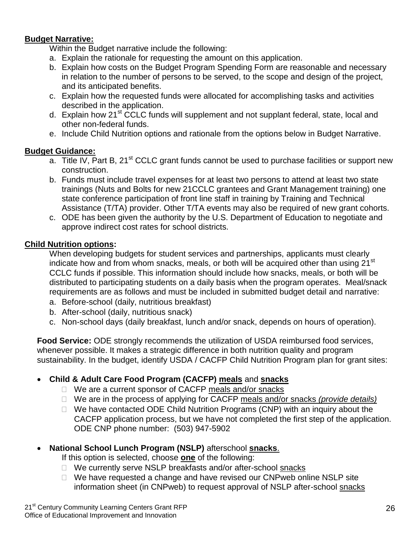#### **Budget Narrative:**

Within the Budget narrative include the following:

- a. Explain the rationale for requesting the amount on this application.
- b. Explain how costs on the Budget Program Spending Form are reasonable and necessary in relation to the number of persons to be served, to the scope and design of the project, and its anticipated benefits.
- c. Explain how the requested funds were allocated for accomplishing tasks and activities described in the application.
- d. Explain how 21<sup>st</sup> CCLC funds will supplement and not supplant federal, state, local and other non-federal funds.
- e. Include Child Nutrition options and rationale from the options below in Budget Narrative.

#### **Budget Guidance:**

- a. Title IV, Part B, 21<sup>st</sup> CCLC grant funds cannot be used to purchase facilities or support new construction.
- b. Funds must include travel expenses for at least two persons to attend at least two state trainings (Nuts and Bolts for new 21CCLC grantees and Grant Management training) one state conference participation of front line staff in training by Training and Technical Assistance (T/TA) provider. Other T/TA events may also be required of new grant cohorts.
- c. ODE has been given the authority by the U.S. Department of Education to negotiate and approve indirect cost rates for school districts.

#### **Child Nutrition options:**

When developing budgets for student services and partnerships, applicants must clearly indicate how and from whom snacks, meals, or both will be acquired other than using 21<sup>st</sup> CCLC funds if possible. This information should include how snacks, meals, or both will be distributed to participating students on a daily basis when the program operates. Meal/snack requirements are as follows and must be included in submitted budget detail and narrative:

- a. Before-school (daily, nutritious breakfast)
- b. After-school (daily, nutritious snack)
- c. Non-school days (daily breakfast, lunch and/or snack, depends on hours of operation).

**Food Service:** ODE strongly recommends the utilization of USDA reimbursed food services, whenever possible. It makes a strategic difference in both nutrition quality and program sustainability. In the budget, identify USDA / CACFP Child Nutrition Program plan for grant sites:

#### **Child & Adult Care Food Program (CACFP) meals** and **snacks**

- □ We are a current sponsor of CACFP meals and/or snacks
- We are in the process of applying for CACFP meals and/or snacks *(provide details)*
- $\Box$  We have contacted ODE Child Nutrition Programs (CNP) with an inquiry about the CACFP application process, but we have not completed the first step of the application. ODE CNP phone number: (503) 947-5902

#### **National School Lunch Program (NSLP)** afterschool **snacks**.

If this option is selected, choose **one** of the following:

- □ We currently serve NSLP breakfasts and/or after-school snacks
- $\Box$  We have requested a change and have revised our CNPweb online NSLP site information sheet (in CNPweb) to request approval of NSLP after-school snacks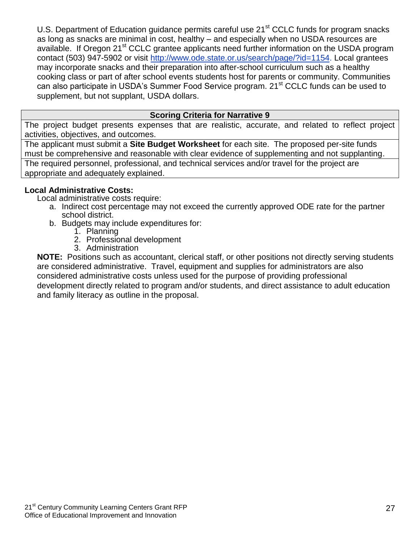U.S. Department of Education guidance permits careful use 21<sup>st</sup> CCLC funds for program snacks as long as snacks are minimal in cost, healthy – and especially when no USDA resources are available. If Oregon 21<sup>st</sup> CCLC grantee applicants need further information on the USDA program contact (503) 947-5902 or visit [http://www.ode.state.or.us/search/page/?id=1154.](http://www.ode.state.or.us/search/page/?id=1154) Local grantees may incorporate snacks and their preparation into after-school curriculum such as a healthy cooking class or part of after school events students host for parents or community. Communities can also participate in USDA's Summer Food Service program. 21<sup>st</sup> CCLC funds can be used to supplement, but not supplant, USDA dollars.

#### **Scoring Criteria for Narrative 9**

The project budget presents expenses that are realistic, accurate, and related to reflect project activities, objectives, and outcomes.

The applicant must submit a **Site Budget Worksheet** for each site. The proposed per-site funds must be comprehensive and reasonable with clear evidence of supplementing and not supplanting. The required personnel, professional, and technical services and/or travel for the project are appropriate and adequately explained.

#### **Local Administrative Costs:**

Local administrative costs require:

- a. Indirect cost percentage may not exceed the currently approved ODE rate for the partner school district.
- b. Budgets may include expenditures for:
	- 1. Planning
	- 2. Professional development
	- 3. Administration

**NOTE:** Positions such as accountant, clerical staff, or other positions not directly serving students are considered administrative. Travel, equipment and supplies for administrators are also considered administrative costs unless used for the purpose of providing professional development directly related to program and/or students, and direct assistance to adult education and family literacy as outline in the proposal.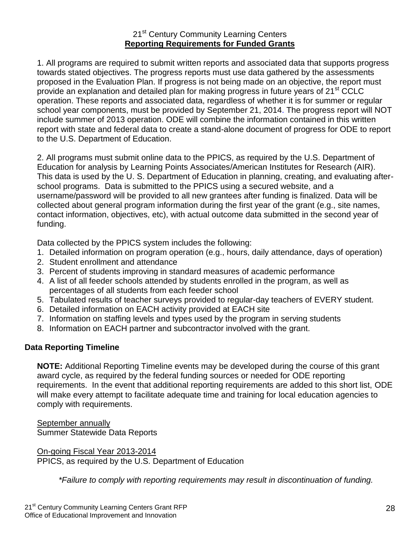#### 21<sup>st</sup> Century Community Learning Centers **Reporting Requirements for Funded Grants**

1. All programs are required to submit written reports and associated data that supports progress towards stated objectives. The progress reports must use data gathered by the assessments proposed in the Evaluation Plan. If progress is not being made on an objective, the report must provide an explanation and detailed plan for making progress in future years of 21<sup>st</sup> CCLC operation. These reports and associated data, regardless of whether it is for summer or regular school year components, must be provided by September 21, 2014. The progress report will NOT include summer of 2013 operation. ODE will combine the information contained in this written report with state and federal data to create a stand-alone document of progress for ODE to report to the U.S. Department of Education.

2. All programs must submit online data to the PPICS, as required by the U.S. Department of Education for analysis by Learning Points Associates/American Institutes for Research (AIR). This data is used by the U. S. Department of Education in planning, creating, and evaluating afterschool programs. Data is submitted to the PPICS using a secured website, and a username/password will be provided to all new grantees after funding is finalized. Data will be collected about general program information during the first year of the grant (e.g., site names, contact information, objectives, etc), with actual outcome data submitted in the second year of funding.

Data collected by the PPICS system includes the following:

- 1. Detailed information on program operation (e.g., hours, daily attendance, days of operation)
- 2. Student enrollment and attendance
- 3. Percent of students improving in standard measures of academic performance
- 4. A list of all feeder schools attended by students enrolled in the program, as well as percentages of all students from each feeder school
- 5. Tabulated results of teacher surveys provided to regular-day teachers of EVERY student.
- 6. Detailed information on EACH activity provided at EACH site
- 7. Information on staffing levels and types used by the program in serving students
- 8. Information on EACH partner and subcontractor involved with the grant.

#### **Data Reporting Timeline**

**NOTE:** Additional Reporting Timeline events may be developed during the course of this grant award cycle, as required by the federal funding sources or needed for ODE reporting requirements. In the event that additional reporting requirements are added to this short list, ODE will make every attempt to facilitate adequate time and training for local education agencies to comply with requirements.

September annually Summer Statewide Data Reports

On-going Fiscal Year 2013-2014 PPICS, as required by the U.S. Department of Education

*\*Failure to comply with reporting requirements may result in discontinuation of funding.*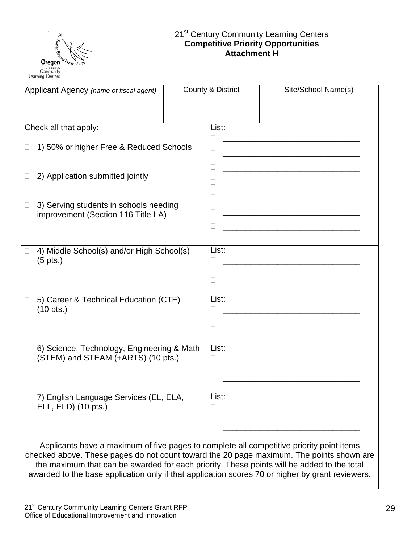

#### 21<sup>st</sup> Century Community Learning Centers **Competitive Priority Opportunities Attachment H**

| Applicant Agency (name of fiscal agent)                                                                                                                                                                                                                                                                                                                                                |  | County & District                                                               | Site/School Name(s)                                                                                                                                                                                                                                                                                       |
|----------------------------------------------------------------------------------------------------------------------------------------------------------------------------------------------------------------------------------------------------------------------------------------------------------------------------------------------------------------------------------------|--|---------------------------------------------------------------------------------|-----------------------------------------------------------------------------------------------------------------------------------------------------------------------------------------------------------------------------------------------------------------------------------------------------------|
| Check all that apply:                                                                                                                                                                                                                                                                                                                                                                  |  | List:                                                                           |                                                                                                                                                                                                                                                                                                           |
| 1) 50% or higher Free & Reduced Schools<br>$\Box$                                                                                                                                                                                                                                                                                                                                      |  | Ш<br>$\Box$                                                                     | <u> 1980 - Johann Barbara, martxa alemaniar arg</u>                                                                                                                                                                                                                                                       |
| 2) Application submitted jointly<br>$\Box$                                                                                                                                                                                                                                                                                                                                             |  | $\Box$<br>$\Box$<br><u> 1989 - Johann Stoff, amerikansk politiker (d. 1989)</u> |                                                                                                                                                                                                                                                                                                           |
| 3) Serving students in schools needing<br>$\Box$<br>improvement (Section 116 Title I-A)                                                                                                                                                                                                                                                                                                |  | □<br>□<br>Ш                                                                     | <u> 1989 - Johann Barn, mars eta bat erroman erroman erroman erroman erroman erroman erroman erroman erroman err</u><br><u> 1980 - Johann John Stone, mars eta biztanleria (</u><br><u> 1980 - Jan James James, martin amerikan basar dan berasal dalam pengaran basar dalam pengaran basar dalam pen</u> |
| 4) Middle School(s) and/or High School(s)<br>$(5 \text{ pts.})$                                                                                                                                                                                                                                                                                                                        |  | List:                                                                           | <u> 1989 - Johann Stoff, amerikansk politiker (d. 1989)</u>                                                                                                                                                                                                                                               |
| 5) Career & Technical Education (CTE)<br>$(10 \text{ pts.})$                                                                                                                                                                                                                                                                                                                           |  | List:<br>$\Box$                                                                 | <u> 1989 - Johann Barn, mars ar breithinn ar chuid ann an t-Alban ann an t-Alban ann an t-Alban ann an t-Alban a</u><br><u> 1989 - Johann John Stone, mars et al. (1989)</u>                                                                                                                              |
| 6) Science, Technology, Engineering & Math<br>$\Box$<br>(STEM) and STEAM (+ARTS) (10 pts.)                                                                                                                                                                                                                                                                                             |  | List:<br>Ш                                                                      |                                                                                                                                                                                                                                                                                                           |
| 7) English Language Services (EL, ELA,<br>ELL, ELD) (10 pts.)                                                                                                                                                                                                                                                                                                                          |  | List:<br>$\Box$                                                                 | <u> 1980 - Johann John Stone, mars eta biztanleria (</u><br><u> 1989 - Paris Paris II, martin Amerikaansk politiker (</u>                                                                                                                                                                                 |
| Applicants have a maximum of five pages to complete all competitive priority point items<br>checked above. These pages do not count toward the 20 page maximum. The points shown are<br>the maximum that can be awarded for each priority. These points will be added to the total<br>awarded to the base application only if that application scores 70 or higher by grant reviewers. |  |                                                                                 |                                                                                                                                                                                                                                                                                                           |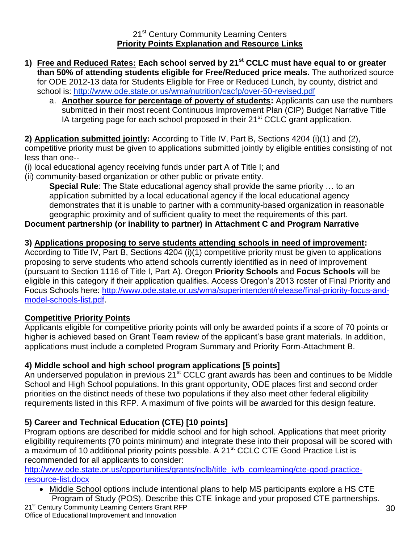- **1) Free and Reduced Rates: Each school served by 21st CCLC must have equal to or greater than 50% of attending students eligible for Free/Reduced price meals.** The authorized source for ODE 2012-13 data for Students Eligible for Free or Reduced Lunch, by county, district and school is:<http://www.ode.state.or.us/wma/nutrition/cacfp/over-50-revised.pdf>
	- a. **Another source for percentage of poverty of students:** Applicants can use the numbers submitted in their most recent Continuous Improvement Plan (CIP) Budget Narrative Title IA targeting page for each school proposed in their  $21<sup>st</sup>$  CCLC grant application.

**2) Application submitted jointly:** According to Title IV, Part B, Sections 4204 (i)(1) and (2), competitive priority must be given to applications submitted jointly by eligible entities consisting of not

less than one--

(i) local educational agency receiving funds under part A of Title I; and

(ii) community-based organization or other public or private entity.

**Special Rule**: The State educational agency shall provide the same priority … to an application submitted by a local educational agency if the local educational agency demonstrates that it is unable to partner with a community-based organization in reasonable geographic proximity and of sufficient quality to meet the requirements of this part.

### **Document partnership (or inability to partner) in Attachment C and Program Narrative**

#### **3) Applications proposing to serve students attending schools in need of improvement:**

According to Title IV, Part B, Sections 4204 (i)(1) competitive priority must be given to applications proposing to serve students who attend schools currently identified as in need of improvement (pursuant to Section 1116 of Title I, Part A). Oregon **Priority Schools** and **Focus Schools** will be eligible in this category if their application qualifies. Access Oregon's 2013 roster of Final Priority and Focus Schools here: [http://www.ode.state.or.us/wma/superintendent/release/final-priority-focus-and](http://www.ode.state.or.us/wma/superintendent/release/final-priority-focus-and-model-schools-list.pdf)[model-schools-list.pdf.](http://www.ode.state.or.us/wma/superintendent/release/final-priority-focus-and-model-schools-list.pdf)

#### **Competitive Priority Points**

Applicants eligible for competitive priority points will only be awarded points if a score of 70 points or higher is achieved based on Grant Team review of the applicant's base grant materials. In addition, applications must include a completed Program Summary and Priority Form-Attachment B.

#### **4) Middle school and high school program applications [5 points]**

An underserved population in previous  $21<sup>st</sup>$  CCLC grant awards has been and continues to be Middle School and High School populations. In this grant opportunity, ODE places first and second order priorities on the distinct needs of these two populations if they also meet other federal eligibility requirements listed in this RFP. A maximum of five points will be awarded for this design feature.

### **5) Career and Technical Education (CTE) [10 points]**

Program options are described for middle school and for high school. Applications that meet priority eligibility requirements (70 points minimum) and integrate these into their proposal will be scored with a maximum of 10 additional priority points possible. A 21<sup>st</sup> CCLC CTE Good Practice List is recommended for all applicants to consider:

[http://www.ode.state.or.us/opportunities/grants/nclb/title\\_iv/b\\_comlearning/cte-good-practice](http://www.ode.state.or.us/opportunities/grants/nclb/title_iv/b_comlearning/cte-good-practice-resource-list.docx)[resource-list.docx](http://www.ode.state.or.us/opportunities/grants/nclb/title_iv/b_comlearning/cte-good-practice-resource-list.docx)

• Middle School options include intentional plans to help MS participants explore a HS CTE Program of Study (POS). Describe this CTE linkage and your proposed CTE partnerships.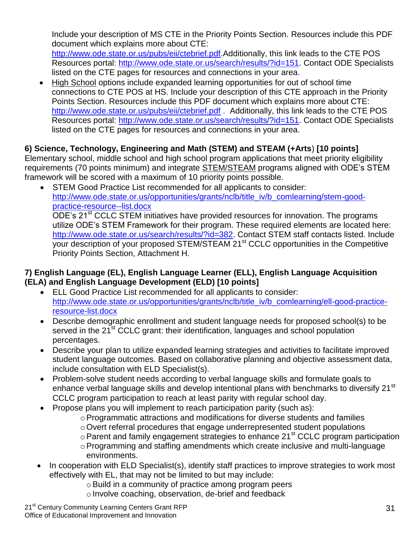Include your description of MS CTE in the Priority Points Section. Resources include this PDF document which explains more about CTE:

[http://www.ode.state.or.us/pubs/eii/ctebrief.pdf.](http://www.ode.state.or.us/pubs/eii/ctebrief.pdf)Additionally, this link leads to the CTE POS Resources portal: [http://www.ode.state.or.us/search/results/?id=151.](http://www.ode.state.or.us/search/results/?id=151) Contact ODE Specialists listed on the CTE pages for resources and connections in your area.

 High School options include expanded learning opportunities for out of school time connections to CTE POS at HS. Include your description of this CTE approach in the Priority Points Section. Resources include this PDF document which explains more about CTE: <http://www.ode.state.or.us/pubs/eii/ctebrief.pdf>. Additionally, this link leads to the CTE POS Resources portal: [http://www.ode.state.or.us/search/results/?id=151.](http://www.ode.state.or.us/search/results/?id=151) Contact ODE Specialists listed on the CTE pages for resources and connections in your area.

### **6) Science, Technology, Engineering and Math (STEM) and STEAM (+Arts**) **[10 points]**

Elementary school, middle school and high school program applications that meet priority eligibility requirements (70 points minimum) and integrate STEM/STEAM programs aligned with ODE's STEM framework will be scored with a maximum of 10 priority points possible.

 STEM Good Practice List recommended for all applicants to consider: [http://www.ode.state.or.us/opportunities/grants/nclb/title\\_iv/b\\_comlearning/stem-good](http://www.ode.state.or.us/opportunities/grants/nclb/title_iv/b_comlearning/stem-good-practice-resource--list.docx)[practice-resource--list.docx](http://www.ode.state.or.us/opportunities/grants/nclb/title_iv/b_comlearning/stem-good-practice-resource--list.docx) ODE's 21<sup>st</sup> CCLC STEM initiatives have provided resources for innovation. The programs utilize ODE's STEM Framework for their program. These required elements are located here: [http://www.ode.state.or.us/search/results/?id=382.](http://www.ode.state.or.us/search/results/?id=382) Contact STEM staff contacts listed. Include your description of your proposed STEM/STEAM 21<sup>st</sup> CCLC opportunities in the Competitive Priority Points Section, Attachment H.

#### **7) English Language (EL), English Language Learner (ELL), English Language Acquisition (ELA) and English Language Development (ELD) [10 points]**

- ELL Good Practice List recommended for all applicants to consider: [http://www.ode.state.or.us/opportunities/grants/nclb/title\\_iv/b\\_comlearning/ell-good-practice](http://www.ode.state.or.us/opportunities/grants/nclb/title_iv/b_comlearning/ell-good-practice-resource-list.docx)[resource-list.docx](http://www.ode.state.or.us/opportunities/grants/nclb/title_iv/b_comlearning/ell-good-practice-resource-list.docx)
- Describe demographic enrollment and student language needs for proposed school(s) to be served in the 21<sup>st</sup> CCLC grant: their identification, languages and school population percentages.
- Describe your plan to utilize expanded learning strategies and activities to facilitate improved student language outcomes. Based on collaborative planning and objective assessment data, include consultation with ELD Specialist(s).
- Problem-solve student needs according to verbal language skills and formulate goals to enhance verbal language skills and develop intentional plans with benchmarks to diversify 21<sup>st</sup> CCLC program participation to reach at least parity with regular school day.
- Propose plans you will implement to reach participation parity (such as):
	- oProgrammatic attractions and modifications for diverse students and families
	- oOvert referral procedures that engage underrepresented student populations
	- o Parent and family engagement strategies to enhance 21<sup>st</sup> CCLC program participation
	- oProgramming and staffing amendments which create inclusive and multi-language environments.
- In cooperation with ELD Specialist(s), identify staff practices to improve strategies to work most effectively with EL, that may not be limited to but may include:
	- $\circ$  Build in a community of practice among program peers
	- o Involve coaching, observation, de-brief and feedback

21<sup>st</sup> Century Community Learning Centers Grant RFP Office of Educational Improvement and Innovation